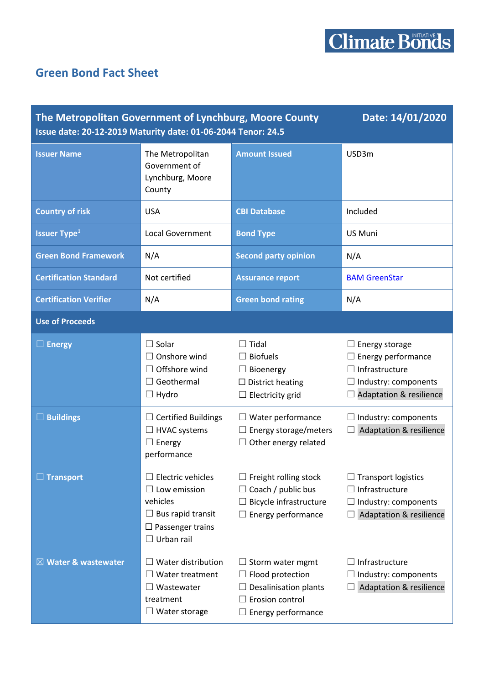## **Green Bond Fact Sheet**

| Date: 14/01/2020<br>The Metropolitan Government of Lynchburg, Moore County<br>Issue date: 20-12-2019 Maturity date: 01-06-2044 Tenor: 24.5 |                                                                                                                                         |                                                                                                                    |                                                                                                                                    |  |
|--------------------------------------------------------------------------------------------------------------------------------------------|-----------------------------------------------------------------------------------------------------------------------------------------|--------------------------------------------------------------------------------------------------------------------|------------------------------------------------------------------------------------------------------------------------------------|--|
| <b>Issuer Name</b>                                                                                                                         | The Metropolitan<br>Government of<br>Lynchburg, Moore<br>County                                                                         | <b>Amount Issued</b>                                                                                               | USD3m                                                                                                                              |  |
| <b>Country of risk</b>                                                                                                                     | <b>USA</b>                                                                                                                              | <b>CBI Database</b>                                                                                                | Included                                                                                                                           |  |
| <b>Issuer Type<sup>1</sup></b>                                                                                                             | <b>Local Government</b>                                                                                                                 | <b>Bond Type</b>                                                                                                   | US Muni                                                                                                                            |  |
| <b>Green Bond Framework</b>                                                                                                                | N/A                                                                                                                                     | <b>Second party opinion</b>                                                                                        | N/A                                                                                                                                |  |
| <b>Certification Standard</b>                                                                                                              | Not certified                                                                                                                           | <b>Assurance report</b>                                                                                            | <b>BAM GreenStar</b>                                                                                                               |  |
| <b>Certification Verifier</b>                                                                                                              | N/A                                                                                                                                     | <b>Green bond rating</b>                                                                                           | N/A                                                                                                                                |  |
| <b>Use of Proceeds</b>                                                                                                                     |                                                                                                                                         |                                                                                                                    |                                                                                                                                    |  |
| $\Box$ Energy                                                                                                                              | $\Box$ Solar<br>$\Box$ Onshore wind<br>$\Box$ Offshore wind<br>$\Box$ Geothermal<br>$\Box$ Hydro                                        | $\Box$ Tidal<br>$\Box$ Biofuels<br>$\Box$ Bioenergy<br>$\square$ District heating<br>$\Box$ Electricity grid       | Energy storage<br>Energy performance<br>$\Box$ Infrastructure<br>$\Box$ Industry: components<br><b>Adaptation &amp; resilience</b> |  |
| <b>Buildings</b><br>$\Box$                                                                                                                 | $\Box$ Certified Buildings<br>$\Box$ HVAC systems<br>$\Box$ Energy<br>performance                                                       | Water performance<br>⊔<br>$\Box$ Energy storage/meters<br>Other energy related<br>ш                                | Industry: components<br><b>Adaptation &amp; resilience</b>                                                                         |  |
| $\Box$ Transport                                                                                                                           | $\Box$ Electric vehicles<br>$\Box$ Low emission<br>vehicles<br>$\Box$ Bus rapid transit<br>$\Box$ Passenger trains<br>$\Box$ Urban rail | $\Box$ Freight rolling stock<br>Coach / public bus<br>Bicycle infrastructure<br>Energy performance                 | <b>Transport logistics</b><br>Infrastructure<br>$\Box$ Industry: components<br><b>Adaptation &amp; resilience</b>                  |  |
| $\boxtimes$ Water & wastewater                                                                                                             | $\Box$ Water distribution<br>$\Box$ Water treatment<br>$\Box$ Wastewater<br>treatment<br>$\Box$ Water storage                           | $\Box$ Storm water mgmt<br>Flood protection<br>Desalinisation plants<br>Erosion control<br>ப<br>Energy performance | Infrastructure<br>Industry: components<br><b>Adaptation &amp; resilience</b>                                                       |  |